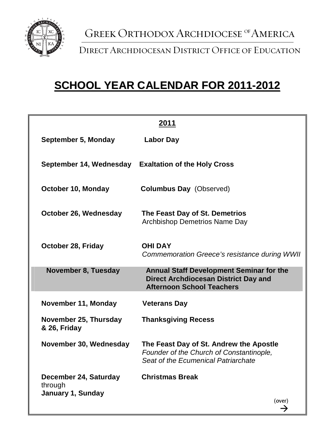

Direct Archdiocesan District Office of Education

## **SCHOOL YEAR CALENDAR FOR 2011-2012**

| <u> 2011 </u>                                         |                                                                                                                                    |  |
|-------------------------------------------------------|------------------------------------------------------------------------------------------------------------------------------------|--|
| September 5, Monday                                   | <b>Labor Day</b>                                                                                                                   |  |
| September 14, Wednesday                               | <b>Exaltation of the Holy Cross</b>                                                                                                |  |
| October 10, Monday                                    | <b>Columbus Day</b> (Observed)                                                                                                     |  |
| October 26, Wednesday                                 | The Feast Day of St. Demetrios<br><b>Archbishop Demetrios Name Day</b>                                                             |  |
| October 28, Friday                                    | <b>OHI DAY</b><br>Commemoration Greece's resistance during WWII                                                                    |  |
| <b>November 8, Tuesday</b>                            | <b>Annual Staff Development Seminar for the</b><br><b>Direct Archdiocesan District Day and</b><br><b>Afternoon School Teachers</b> |  |
| November 11, Monday                                   | <b>Veterans Day</b>                                                                                                                |  |
| November 25, Thursday<br>& 26, Friday                 | <b>Thanksgiving Recess</b>                                                                                                         |  |
| November 30, Wednesday                                | The Feast Day of St. Andrew the Apostle<br>Founder of the Church of Constantinople,<br>Seat of the Ecumenical Patriarchate         |  |
| December 24, Saturday<br>through<br>January 1, Sunday | <b>Christmas Break</b><br>(over)                                                                                                   |  |
|                                                       |                                                                                                                                    |  |

→